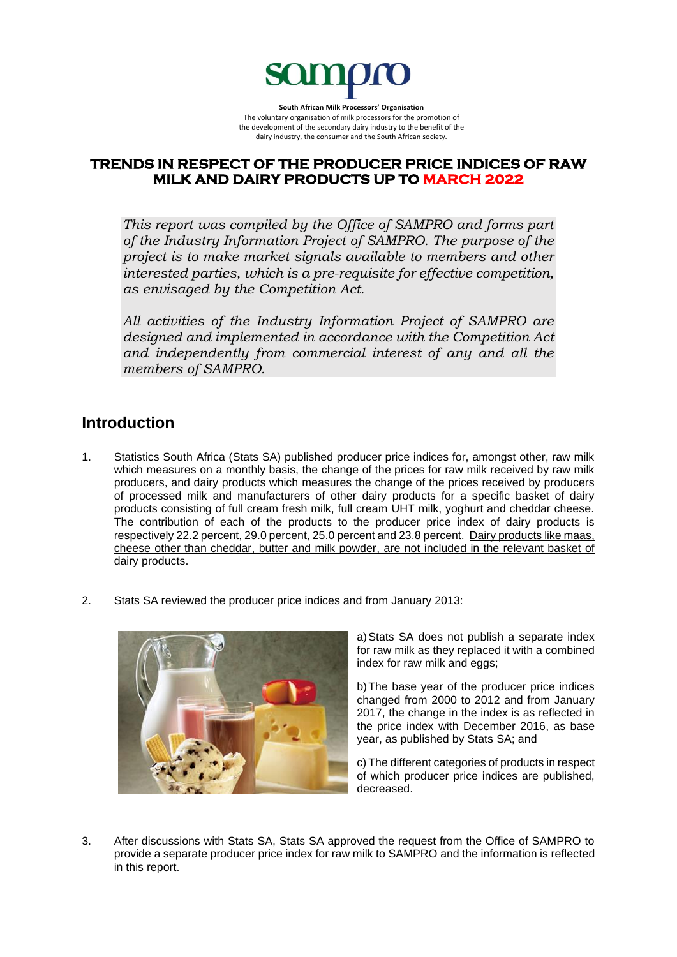

**South African Milk Processors' Organisation** The voluntary organisation of milk processors for the promotion of the development of the secondary dairy industry to the benefit of the dairy industry, the consumer and the South African society.

# **TRENDS IN RESPECT OF THE PRODUCER PRICE INDICES OF RAW MILK AND DAIRY PRODUCTS UP TO MARCH 2022**

*This report was compiled by the Office of SAMPRO and forms part of the Industry Information Project of SAMPRO. The purpose of the project is to make market signals available to members and other interested parties, which is a pre-requisite for effective competition, as envisaged by the Competition Act.* 

*All activities of the Industry Information Project of SAMPRO are designed and implemented in accordance with the Competition Act and independently from commercial interest of any and all the members of SAMPRO.*

# **Introduction**

- 1. Statistics South Africa (Stats SA) published producer price indices for, amongst other, raw milk which measures on a monthly basis, the change of the prices for raw milk received by raw milk producers, and dairy products which measures the change of the prices received by producers of processed milk and manufacturers of other dairy products for a specific basket of dairy products consisting of full cream fresh milk, full cream UHT milk, yoghurt and cheddar cheese. The contribution of each of the products to the producer price index of dairy products is respectively 22.2 percent, 29.0 percent, 25.0 percent and 23.8 percent. Dairy products like maas, cheese other than cheddar, butter and milk powder, are not included in the relevant basket of dairy products.
- 2. Stats SA reviewed the producer price indices and from January 2013:



a)Stats SA does not publish a separate index for raw milk as they replaced it with a combined index for raw milk and eggs;

b)The base year of the producer price indices changed from 2000 to 2012 and from January 2017, the change in the index is as reflected in the price index with December 2016, as base year, as published by Stats SA; and

c) The different categories of products in respect of which producer price indices are published, decreased.

3. After discussions with Stats SA, Stats SA approved the request from the Office of SAMPRO to provide a separate producer price index for raw milk to SAMPRO and the information is reflected in this report.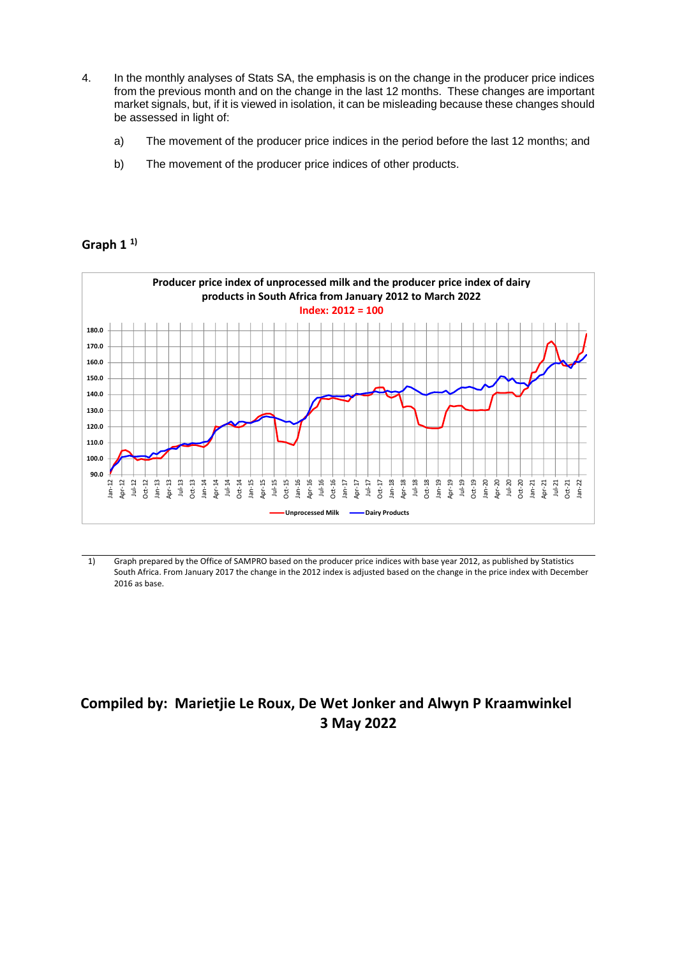- 4. In the monthly analyses of Stats SA, the emphasis is on the change in the producer price indices from the previous month and on the change in the last 12 months. These changes are important market signals, but, if it is viewed in isolation, it can be misleading because these changes should be assessed in light of:
	- a) The movement of the producer price indices in the period before the last 12 months; and
	- b) The movement of the producer price indices of other products.

## **Graph 1 1)**



1) Graph prepared by the Office of SAMPRO based on the producer price indices with base year 2012, as published by Statistics South Africa. From January 2017 the change in the 2012 index is adjusted based on the change in the price index with December 2016 as base.

# **Compiled by: Marietjie Le Roux, De Wet Jonker and Alwyn P Kraamwinkel 3 May 2022**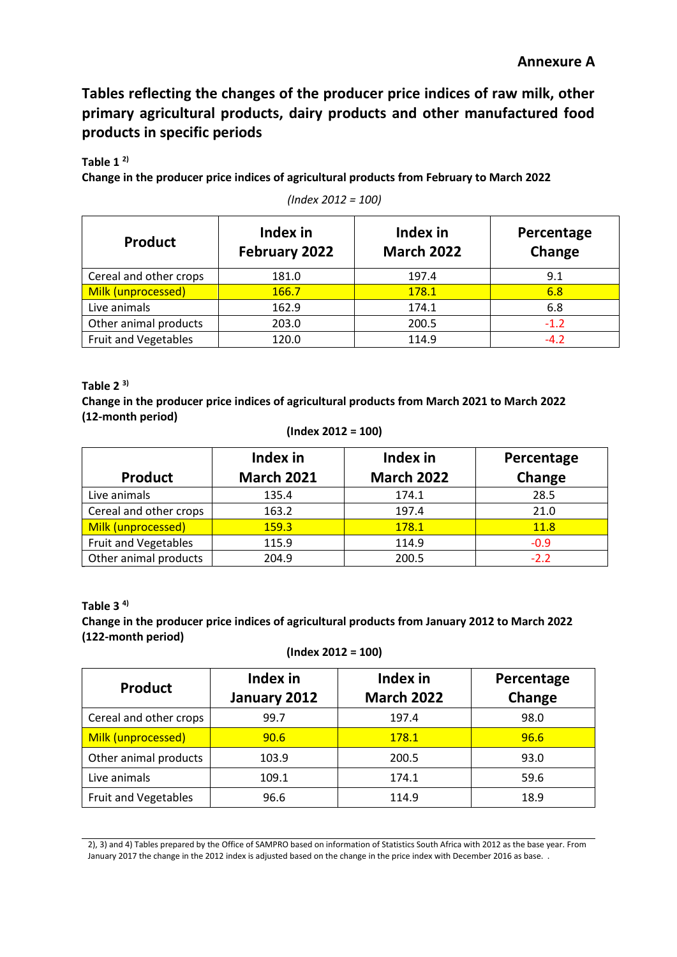**Tables reflecting the changes of the producer price indices of raw milk, other primary agricultural products, dairy products and other manufactured food products in specific periods**

**Table 1 2)**

**Change in the producer price indices of agricultural products from February to March 2022**

| <b>Product</b>              | Index in<br>February 2022 | Index in<br><b>March 2022</b> | Percentage<br>Change |
|-----------------------------|---------------------------|-------------------------------|----------------------|
| Cereal and other crops      | 181.0                     | 197.4                         | 9.1                  |
| Milk (unprocessed)          | 166.7                     | 178.1                         | 6.8                  |
| Live animals                | 162.9                     | 174.1                         | 6.8                  |
| Other animal products       | 203.0                     | 200.5                         | $-1.2$               |
| <b>Fruit and Vegetables</b> | 120.0                     | 114.9                         | $-4.2$               |

*(Index 2012 = 100)*

#### **Table 2 3)**

**Change in the producer price indices of agricultural products from March 2021 to March 2022 (12-month period)**

| (Index 2012 = 100) |  |  |  |
|--------------------|--|--|--|
|--------------------|--|--|--|

| <b>Product</b>              | Index in<br><b>March 2021</b> | Index in<br><b>March 2022</b> | Percentage<br>Change |
|-----------------------------|-------------------------------|-------------------------------|----------------------|
| Live animals                | 135.4                         | 174.1                         | 28.5                 |
| Cereal and other crops      | 163.2                         | 197.4                         | 21.0                 |
| Milk (unprocessed)          | 159.3                         | 178.1                         | 11.8                 |
| <b>Fruit and Vegetables</b> | 115.9                         | 114.9                         | $-0.9$               |
| Other animal products       | 204.9                         | 200.5                         | $-2.2$               |

# **Table 3 4) Change in the producer price indices of agricultural products from January 2012 to March 2022**

**(122-month period)**

```
(Index 2012 = 100)
```

| <b>Product</b>              | Index in<br>January 2012 | Index in<br><b>March 2022</b> | Percentage<br>Change |
|-----------------------------|--------------------------|-------------------------------|----------------------|
| Cereal and other crops      | 99.7                     | 197.4                         | 98.0                 |
| Milk (unprocessed)          | 90.6                     | 178.1                         | 96.6                 |
| Other animal products       | 103.9                    | 200.5                         | 93.0                 |
| Live animals                | 109.1                    | 174.1                         | 59.6                 |
| <b>Fruit and Vegetables</b> | 96.6                     | 114.9                         | 18.9                 |

2), 3) and 4) Tables prepared by the Office of SAMPRO based on information of Statistics South Africa with 2012 as the base year. From January 2017 the change in the 2012 index is adjusted based on the change in the price index with December 2016 as base. .